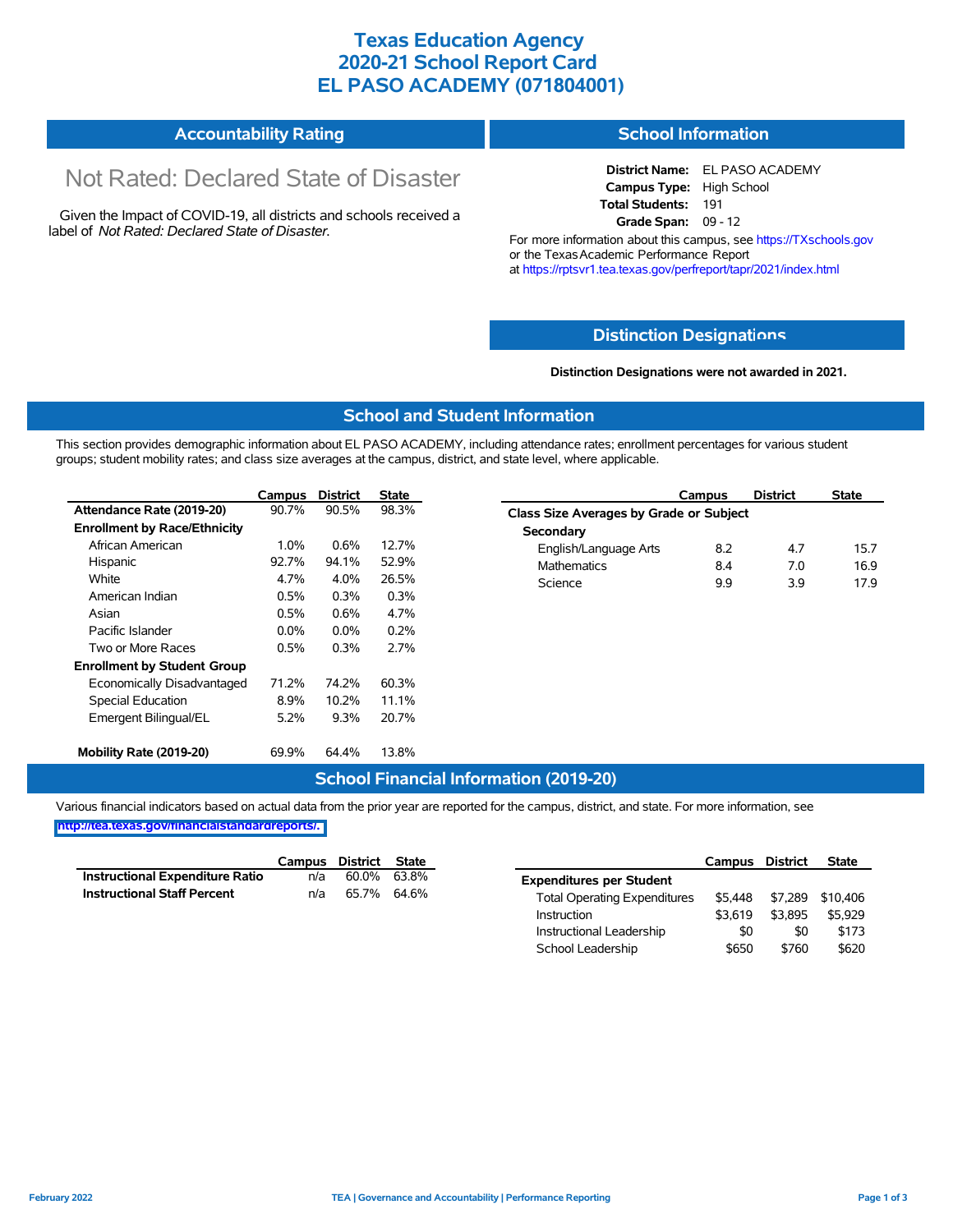### **Texas Education Agency 2020-21 School Report Card EL PASO ACADEMY (071804001)**

#### **Accountability Rating School Information**

# Not Rated: Declared State of Disaster

Given the Impact of COVID-19, all districts and schools received a label of *Not Rated: Declared State of Disaster.*

**District Name:** EL PASO ACADEMY **Campus Type:** High School **Total Students:** 191 **Grade Span:** 09 - 12

For more information about this campus, see https://TXschools.gov or the Texas Academic Performance Report at https://rptsvr1.tea.texas.gov/perfreport/tapr/2021/index.html

#### **Distinction Designat[ions](https://TXschools.gov)**

#### **Distinction Designations were not awarded in 2021.**

School Leadership  $$650$  \$760 \$620

#### **School and Student Information**

This section provides demographic information about EL PASO ACADEMY, including attendance rates; enrollment percentages for various student groups; student mobility rates; and class size averages at the campus, district, and state level, where applicable.

|                                     | <b>Campus</b> | <b>District</b> | <b>State</b> | <b>District</b><br><b>State</b><br>Campus   |
|-------------------------------------|---------------|-----------------|--------------|---------------------------------------------|
| Attendance Rate (2019-20)           | 90.7%         | 90.5%           | 98.3%        | Class Size Averages by Grade or Subject     |
| <b>Enrollment by Race/Ethnicity</b> |               |                 |              | Secondary                                   |
| African American                    | $1.0\%$       | 0.6%            | 12.7%        | 8.2<br>4.7<br>English/Language Arts<br>15.7 |
| Hispanic                            | 92.7%         | 94.1%           | 52.9%        | <b>Mathematics</b><br>8.4<br>16.9<br>7.0    |
| White                               | 4.7%          | 4.0%            | 26.5%        | 9.9<br>Science<br>3.9<br>17.9               |
| American Indian                     | 0.5%          | 0.3%            | 0.3%         |                                             |
| Asian                               | 0.5%          | $0.6\%$         | 4.7%         |                                             |
| Pacific Islander                    | 0.0%          | $0.0\%$         | 0.2%         |                                             |
| Two or More Races                   | 0.5%          | 0.3%            | 2.7%         |                                             |
| <b>Enrollment by Student Group</b>  |               |                 |              |                                             |
| Economically Disadvantaged          | 71.2%         | 74.2%           | 60.3%        |                                             |
| Special Education                   | 8.9%          | 10.2%           | 11.1%        |                                             |
| Emergent Bilingual/EL               | 5.2%          | 9.3%            | 20.7%        |                                             |
| Mobility Rate (2019-20)             | 69.9%         | 64.4%           | 13.8%        |                                             |

#### **School Financial Information (2019-20)**

Various financial indicators based on actual data from the prior year are reported for the campus, district, and state. For more information, see

**[http://tea.texas.gov/financialstandardreports/.](http://tea.texas.gov/financialstandardreports/)**

|                                        | Campus | District | State |                                     | Campus  | <b>District</b> | <b>State</b> |
|----------------------------------------|--------|----------|-------|-------------------------------------|---------|-----------------|--------------|
| <b>Instructional Expenditure Ratio</b> | n/a    | 60.0%    | 63.8% | <b>Expenditures per Student</b>     |         |                 |              |
| <b>Instructional Staff Percent</b>     | n/a    | 65.7%    | 64.6% | <b>Total Operating Expenditures</b> | \$5.448 | \$7.289         | \$10.406     |
|                                        |        |          |       | Instruction                         | \$3.619 | \$3.895         | \$5,929      |
|                                        |        |          |       | Instructional Leadership            | \$0     | \$0             | \$173        |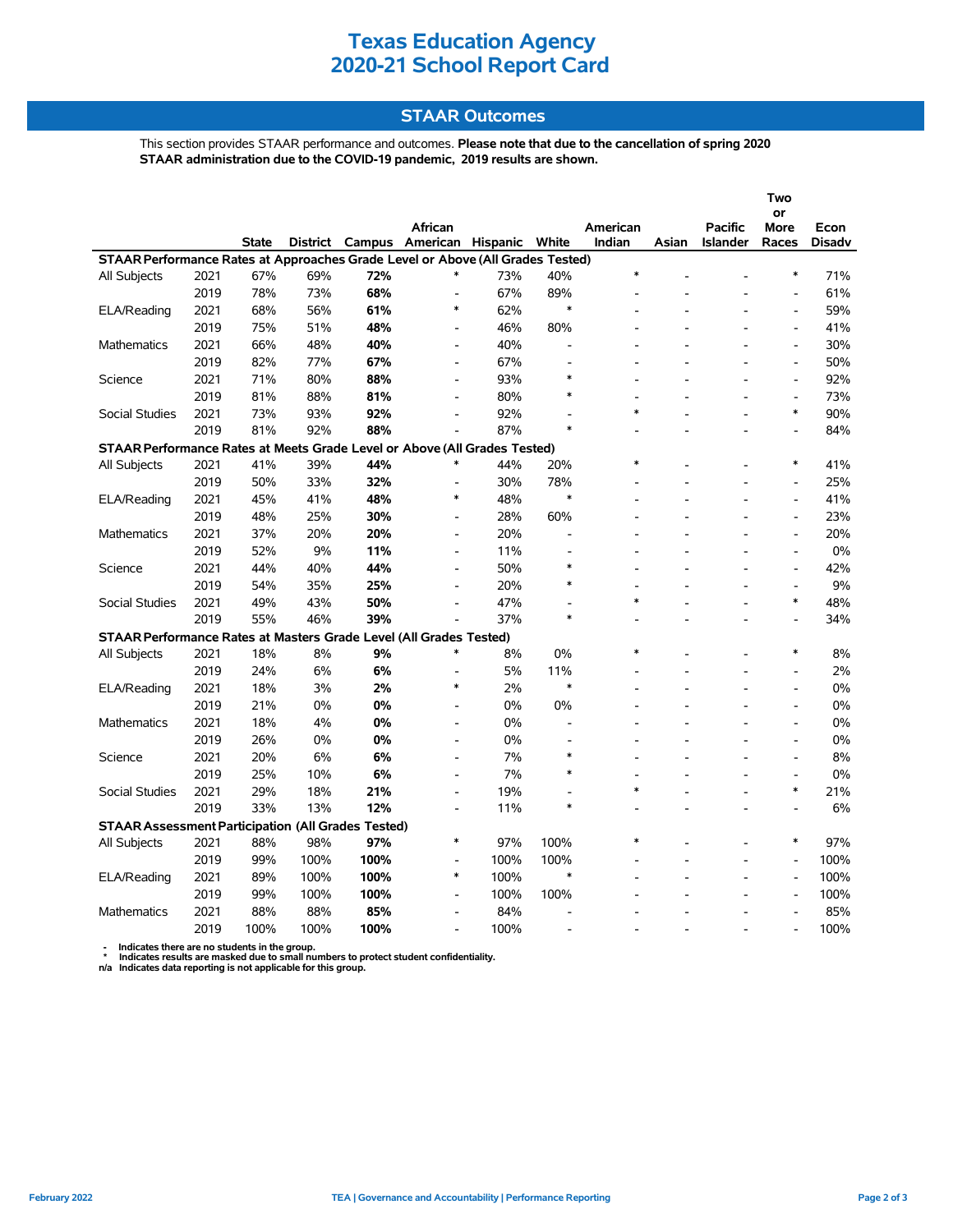## **Texas Education Agency 2020-21 School Report Card**

### **STAAR Outcomes**

This section provides STAAR performance and outcomes. **Please note that due to the cancellation of spring 2020 STAAR administration due to the COVID-19 pandemic, 2019 results are shown.**

|                                                                                                         |      |              |                 |        |                                     |      |                          |                    |       |                 | Two                          |        |  |  |
|---------------------------------------------------------------------------------------------------------|------|--------------|-----------------|--------|-------------------------------------|------|--------------------------|--------------------|-------|-----------------|------------------------------|--------|--|--|
|                                                                                                         |      |              |                 |        |                                     |      |                          |                    |       |                 | or                           |        |  |  |
|                                                                                                         |      | <b>State</b> | <b>District</b> | Campus | <b>African</b><br>American Hispanic |      | White                    | American<br>Indian | Asian | <b>Pacific</b>  | More<br>Races                | Econ   |  |  |
| STAAR Performance Rates at Approaches Grade Level or Above (All Grades Tested)                          |      |              |                 |        |                                     |      |                          |                    |       | <b>Islander</b> |                              | Disadv |  |  |
| All Subjects                                                                                            | 2021 | 67%          | 69%             | 72%    | *                                   | 73%  | 40%                      | $\ast$             |       |                 | $\ast$                       | 71%    |  |  |
|                                                                                                         | 2019 | 78%          | 73%             | 68%    | $\overline{a}$                      | 67%  | 89%                      |                    |       |                 |                              | 61%    |  |  |
| ELA/Reading                                                                                             | 2021 | 68%          | 56%             | 61%    | $\ast$                              | 62%  | $\ast$                   |                    |       |                 | $\overline{\phantom{a}}$     | 59%    |  |  |
|                                                                                                         | 2019 | 75%          | 51%             | 48%    | $\qquad \qquad \blacksquare$        | 46%  | 80%                      |                    |       |                 | $\qquad \qquad \blacksquare$ | 41%    |  |  |
| <b>Mathematics</b>                                                                                      | 2021 | 66%          | 48%             | 40%    | $\blacksquare$                      | 40%  |                          |                    |       |                 | $\overline{\phantom{a}}$     | 30%    |  |  |
|                                                                                                         | 2019 | 82%          | 77%             | 67%    | $\overline{\phantom{a}}$            | 67%  |                          |                    |       |                 | $\overline{a}$               | 50%    |  |  |
| Science                                                                                                 | 2021 | 71%          | 80%             | 88%    | $\overline{a}$                      | 93%  | $\ast$                   |                    |       |                 | $\overline{a}$               | 92%    |  |  |
|                                                                                                         | 2019 | 81%          | 88%             | 81%    | $\overline{a}$                      | 80%  | $\ast$                   |                    |       |                 | $\frac{1}{2}$                | 73%    |  |  |
|                                                                                                         |      |              |                 |        |                                     |      |                          | $\ast$             |       |                 | $\ast$                       |        |  |  |
| Social Studies                                                                                          | 2021 | 73%          | 93%             | 92%    |                                     | 92%  | $\ast$                   |                    |       |                 |                              | 90%    |  |  |
|                                                                                                         | 2019 | 81%          | 92%             | 88%    | $\overline{a}$                      | 87%  |                          |                    |       |                 |                              | 84%    |  |  |
| STAAR Performance Rates at Meets Grade Level or Above (All Grades Tested)<br>$\ast$<br>$\ast$<br>$\ast$ |      |              |                 |        |                                     |      |                          |                    |       |                 |                              |        |  |  |
| All Subjects                                                                                            | 2021 | 41%          | 39%             | 44%    |                                     | 44%  | 20%                      |                    |       |                 |                              | 41%    |  |  |
|                                                                                                         | 2019 | 50%          | 33%             | 32%    | $\ast$                              | 30%  | 78%<br>$\ast$            |                    |       |                 |                              | 25%    |  |  |
| ELA/Reading                                                                                             | 2021 | 45%          | 41%             | 48%    |                                     | 48%  |                          |                    |       |                 | $\overline{a}$               | 41%    |  |  |
|                                                                                                         | 2019 | 48%          | 25%             | 30%    | $\overline{\phantom{a}}$            | 28%  | 60%                      |                    |       |                 | $\qquad \qquad \blacksquare$ | 23%    |  |  |
| Mathematics                                                                                             | 2021 | 37%          | 20%             | 20%    | $\blacksquare$                      | 20%  | ۰                        |                    |       |                 | $\overline{a}$               | 20%    |  |  |
|                                                                                                         | 2019 | 52%          | 9%              | 11%    | $\blacksquare$                      | 11%  |                          |                    |       |                 | $\overline{a}$               | 0%     |  |  |
| Science                                                                                                 | 2021 | 44%          | 40%             | 44%    | $\overline{\phantom{a}}$            | 50%  | $\ast$                   |                    |       |                 | $\overline{a}$               | 42%    |  |  |
|                                                                                                         | 2019 | 54%          | 35%             | 25%    | $\overline{a}$                      | 20%  | $\ast$                   |                    |       |                 | $\frac{1}{2}$                | 9%     |  |  |
| Social Studies                                                                                          | 2021 | 49%          | 43%             | 50%    |                                     | 47%  |                          | $\ast$             |       |                 | $\ast$                       | 48%    |  |  |
|                                                                                                         | 2019 | 55%          | 46%             | 39%    |                                     | 37%  | $\ast$                   |                    |       |                 |                              | 34%    |  |  |
| STAAR Performance Rates at Masters Grade Level (All Grades Tested)                                      |      |              |                 |        |                                     |      |                          |                    |       |                 |                              |        |  |  |
| All Subjects                                                                                            | 2021 | 18%          | 8%              | 9%     | $\ast$                              | 8%   | 0%                       | $\ast$             |       |                 | $\ast$                       | 8%     |  |  |
|                                                                                                         | 2019 | 24%          | 6%              | 6%     | $\overline{a}$                      | 5%   | 11%                      |                    |       |                 | $\overline{a}$               | 2%     |  |  |
| ELA/Reading                                                                                             | 2021 | 18%          | 3%              | 2%     | $\ast$                              | 2%   | $\ast$                   |                    |       |                 | $\overline{a}$               | 0%     |  |  |
|                                                                                                         | 2019 | 21%          | 0%              | 0%     | $\blacksquare$                      | 0%   | 0%                       |                    |       |                 | $\overline{\phantom{a}}$     | 0%     |  |  |
| <b>Mathematics</b>                                                                                      | 2021 | 18%          | 4%              | 0%     | $\blacksquare$                      | 0%   | $\overline{\phantom{a}}$ |                    |       |                 | $\overline{a}$               | 0%     |  |  |
|                                                                                                         | 2019 | 26%          | 0%              | 0%     | $\overline{a}$                      | 0%   |                          |                    |       |                 |                              | 0%     |  |  |
| Science                                                                                                 | 2021 | 20%          | 6%              | 6%     | $\blacksquare$                      | 7%   | $\ast$                   |                    |       |                 | $\overline{\phantom{a}}$     | 8%     |  |  |
|                                                                                                         | 2019 | 25%          | 10%             | 6%     | $\overline{a}$                      | 7%   | $\ast$                   |                    |       |                 | $\frac{1}{2}$                | 0%     |  |  |
| <b>Social Studies</b>                                                                                   | 2021 | 29%          | 18%             | 21%    |                                     | 19%  |                          | $\ast$             |       |                 | $\ast$                       | 21%    |  |  |
|                                                                                                         | 2019 | 33%          | 13%             | 12%    | $\overline{a}$                      | 11%  | $\ast$                   |                    |       |                 |                              | 6%     |  |  |
| <b>STAAR Assessment Participation (All Grades Tested)</b>                                               |      |              |                 |        |                                     |      |                          |                    |       |                 |                              |        |  |  |
| All Subjects                                                                                            | 2021 | 88%          | 98%             | 97%    | $\ast$                              | 97%  | 100%                     | $\ast$             |       |                 | $\ast$                       | 97%    |  |  |
|                                                                                                         | 2019 | 99%          | 100%            | 100%   | $\blacksquare$                      | 100% | 100%                     |                    |       |                 | $\overline{a}$               | 100%   |  |  |
| ELA/Reading                                                                                             | 2021 | 89%          | 100%            | 100%   | $\ast$                              | 100% | $\ast$                   |                    |       |                 | $\overline{\phantom{a}}$     | 100%   |  |  |
|                                                                                                         | 2019 | 99%          | 100%            | 100%   | $\overline{\phantom{a}}$            | 100% | 100%                     |                    |       |                 | $\overline{a}$               | 100%   |  |  |
| Mathematics                                                                                             | 2021 | 88%          | 88%             | 85%    | $\blacksquare$                      | 84%  |                          |                    |       |                 |                              | 85%    |  |  |
|                                                                                                         | 2019 | 100%         | 100%            | 100%   | $\overline{a}$                      | 100% |                          |                    |       |                 |                              | 100%   |  |  |

 **- Indicates there are no students in the group. \* Indicates results are masked due to small numbers to protect student confidentiality.**

**n/a Indicates data reporting is not applicable for this group.**